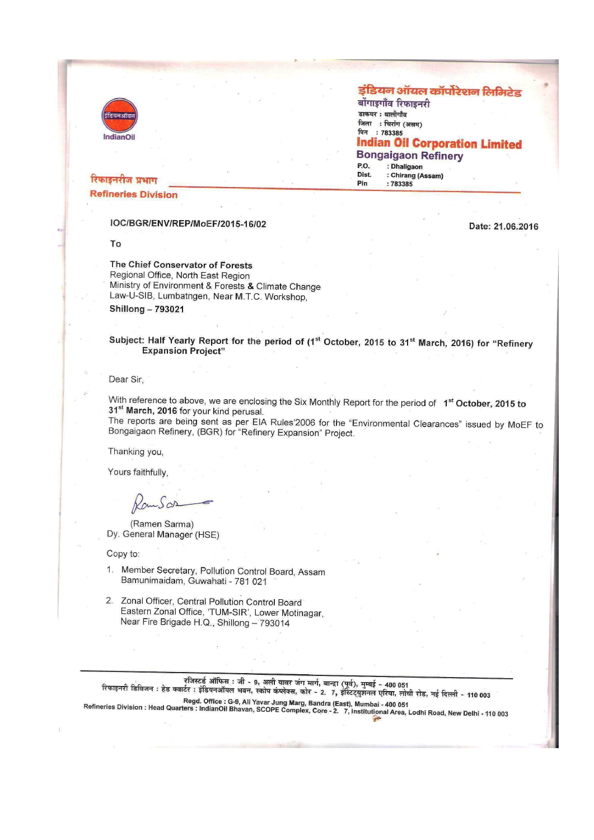

#### इंडियन ऑयल कॉर्पोरेशन लिमिटेड

बोंगाइगाँव रिफाइनरी डाकघर : धालीगाँव जिला : चिरांग (असम) पिन: 783385 **Indian Oil Corporation Limited Bongaigaon Refinery** : Dhaligaon P.O. : Chirang (Assam)<br>: 783385 Dist. Pin

# रिफाइनरीज प्रभाग

**Refineries Division** 

#### IOC/BGR/ENV/REP/MoEF/2015-16/02

To

# Date: 21.06.2016

The Chief Conservator of Forests Regional Office, North East Region Ministry of Environment & Forests & Climate Change Law-U-SIB, Lumbatngen, Near M.T.C. Workshop,

**Shillong-793021** 

Subject: Half Yearly Report for the period of (1<sup>st</sup> October, 2015 to 31<sup>st</sup> March, 2016) for "Refinery **Expansion Project"** 

#### Dear Sir,

With reference to above, we are enclosing the Six Monthly Report for the period of 1<sup>st</sup> October, 2015 to 31<sup>st</sup> March, 2016 for your kind perusal.

The reports are being sent as per EIA Rules'2006 for the "Environmental Clearances" issued by MoEF to Bongaigaon Refinery, (BGR) for "Refinery Expansion" Project.

Thanking you,

Yours faithfully.

 $.5\omega$ 

(Ramen Sarma) Dy. General Manager (HSE)

Copy to:

- 1. Member Secretary, Pollution Control Board, Assam Bamunimaidam, Guwahati - 781 021
- 2. Zonal Officer, Central Pollution Control Board Eastern Zonal Office, 'TUM-SIR', Lower Motinagar, Near Fire Brigade H.Q., Shillong - 793014

रजिस्टर्ड ऑफिस : जी - 9, अली यावर जंग मार्ग, बान्द्रा (पूर्व), मुम्बई - 400 051<br>रिफाइनरी डिविजन : हेड क्वार्टर : इंडियनऑयल भवन, स्कोप कंप्लेक्स, कोर - 2. 7, इंस्टिट्युशनल एरिया, लोधी रोड, नई दिल्ली - 110 003

Regd. Office : G-9, Ali Yavar Jung Marg, Bandra (East), Mumbai - 400 051<br>Refineries Division : Head Quarters : IndianOil Bhavan, SCOPE Complex, Core - 2. 7, Institutional Area, Lodhi Road, New Delhi - 110 003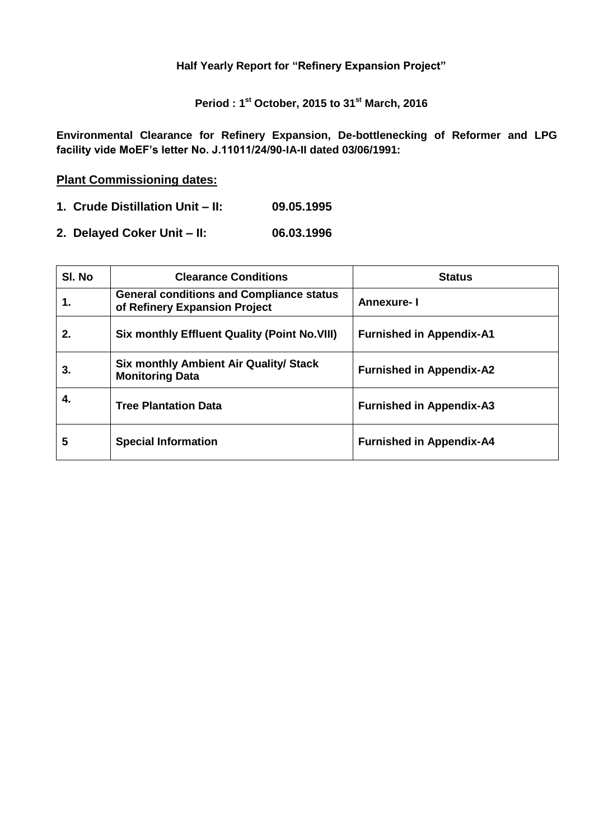**Half Yearly Report for "Refinery Expansion Project"**

**Period : 1 st October, 2015 to 31 st March, 2016**

**Environmental Clearance for Refinery Expansion, De-bottlenecking of Reformer and LPG facility vide MoEF's letter No. J.11011/24/90-IA-II dated 03/06/1991:** 

# **Plant Commissioning dates:**

- **1. Crude Distillation Unit – II: 09.05.1995**
- **2. Delayed Coker Unit – II: 06.03.1996**

| SI. No | <b>Clearance Conditions</b>                                                      | <b>Status</b>                   |
|--------|----------------------------------------------------------------------------------|---------------------------------|
| 1.     | <b>General conditions and Compliance status</b><br>of Refinery Expansion Project | <b>Annexure-I</b>               |
| 2.     | <b>Six monthly Effluent Quality (Point No.VIII)</b>                              | <b>Furnished in Appendix-A1</b> |
| 3.     | <b>Six monthly Ambient Air Quality/ Stack</b><br><b>Monitoring Data</b>          | <b>Furnished in Appendix-A2</b> |
| 4.     | <b>Tree Plantation Data</b>                                                      | <b>Furnished in Appendix-A3</b> |
| 5      | <b>Special Information</b>                                                       | <b>Furnished in Appendix-A4</b> |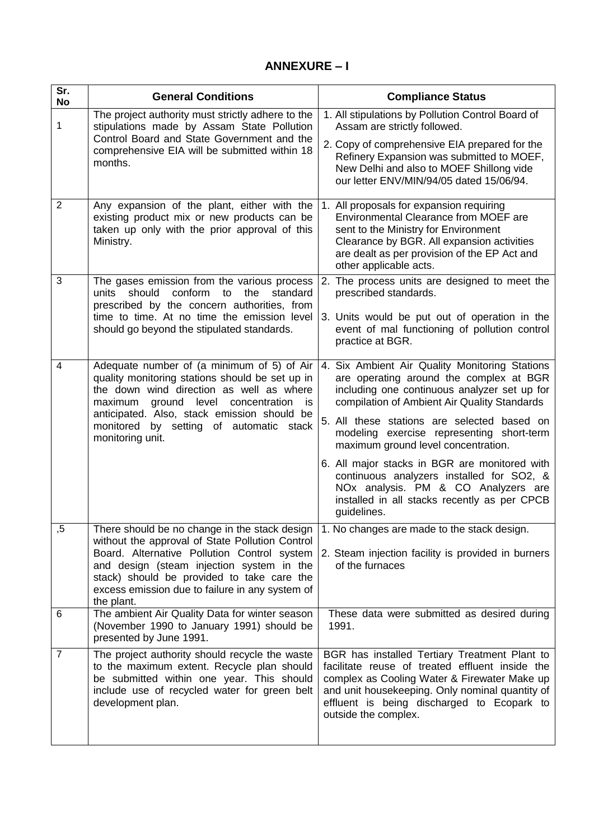# **ANNEXURE – I**

| Sr.<br>No      | <b>General Conditions</b>                                                                                                                                                                                                                | <b>Compliance Status</b>                                                                                                                                                                                                                                                  |
|----------------|------------------------------------------------------------------------------------------------------------------------------------------------------------------------------------------------------------------------------------------|---------------------------------------------------------------------------------------------------------------------------------------------------------------------------------------------------------------------------------------------------------------------------|
| 1              | The project authority must strictly adhere to the<br>stipulations made by Assam State Pollution<br>Control Board and State Government and the                                                                                            | 1. All stipulations by Pollution Control Board of<br>Assam are strictly followed.                                                                                                                                                                                         |
|                | comprehensive EIA will be submitted within 18<br>months.                                                                                                                                                                                 | 2. Copy of comprehensive EIA prepared for the<br>Refinery Expansion was submitted to MOEF,<br>New Delhi and also to MOEF Shillong vide<br>our letter ENV/MIN/94/05 dated 15/06/94.                                                                                        |
| $\overline{2}$ | Any expansion of the plant, either with the<br>existing product mix or new products can be<br>taken up only with the prior approval of this<br>Ministry.                                                                                 | 1. All proposals for expansion requiring<br>Environmental Clearance from MOEF are<br>sent to the Ministry for Environment<br>Clearance by BGR. All expansion activities<br>are dealt as per provision of the EP Act and<br>other applicable acts.                         |
| 3              | The gases emission from the various process<br>units should conform to<br>the<br>standard<br>prescribed by the concern authorities, from                                                                                                 | 2. The process units are designed to meet the<br>prescribed standards.                                                                                                                                                                                                    |
|                | time to time. At no time the emission level<br>should go beyond the stipulated standards.                                                                                                                                                | 3. Units would be put out of operation in the<br>event of mal functioning of pollution control<br>practice at BGR.                                                                                                                                                        |
| 4              | Adequate number of (a minimum of 5) of Air<br>quality monitoring stations should be set up in<br>the down wind direction as well as where<br>maximum<br>ground level concentration<br>is.<br>anticipated. Also, stack emission should be | 4. Six Ambient Air Quality Monitoring Stations<br>are operating around the complex at BGR<br>including one continuous analyzer set up for<br>compilation of Ambient Air Quality Standards                                                                                 |
|                | monitored by setting of automatic stack<br>monitoring unit.                                                                                                                                                                              | 5. All these stations are selected based on<br>modeling exercise representing short-term<br>maximum ground level concentration.                                                                                                                                           |
|                |                                                                                                                                                                                                                                          | 6. All major stacks in BGR are monitored with<br>continuous analyzers installed for SO2, &<br>NOx analysis. PM & CO Analyzers are<br>installed in all stacks recently as per CPCB<br>guidelines.                                                                          |
| ,5             | There should be no change in the stack design $ 1$ . No changes are made to the stack design.<br>without the approval of State Pollution Control                                                                                         |                                                                                                                                                                                                                                                                           |
|                | Board. Alternative Pollution Control system<br>and design (steam injection system in the<br>stack) should be provided to take care the<br>excess emission due to failure in any system of<br>the plant.                                  | 2. Steam injection facility is provided in burners<br>of the furnaces                                                                                                                                                                                                     |
| 6              | The ambient Air Quality Data for winter season<br>(November 1990 to January 1991) should be<br>presented by June 1991.                                                                                                                   | These data were submitted as desired during<br>1991.                                                                                                                                                                                                                      |
| $\overline{7}$ | The project authority should recycle the waste<br>to the maximum extent. Recycle plan should<br>be submitted within one year. This should<br>include use of recycled water for green belt<br>development plan.                           | BGR has installed Tertiary Treatment Plant to<br>facilitate reuse of treated effluent inside the<br>complex as Cooling Water & Firewater Make up<br>and unit housekeeping. Only nominal quantity of<br>effluent is being discharged to Ecopark to<br>outside the complex. |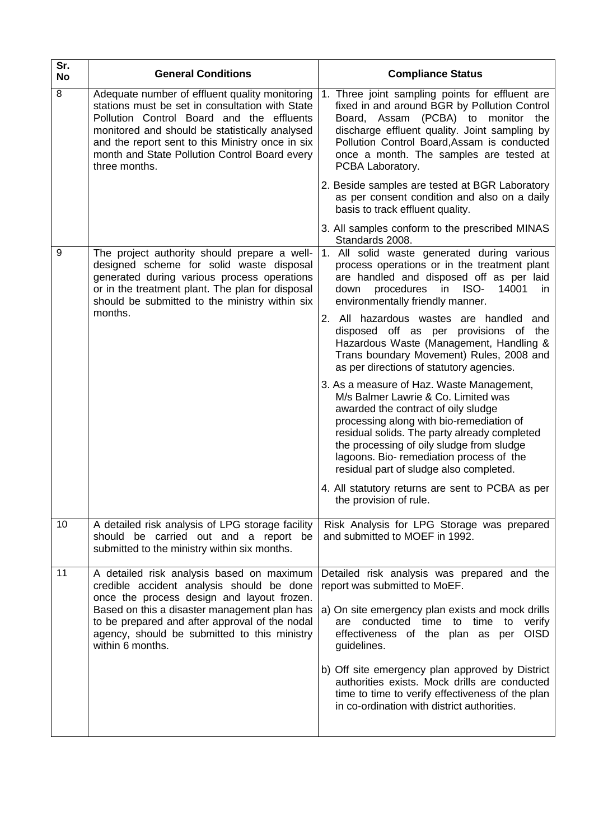| Sr.<br>No | <b>General Conditions</b>                                                                                                                                                                                                                                                                                              | <b>Compliance Status</b>                                                                                                                                                                                                                                                                                                                                                                                                                             |
|-----------|------------------------------------------------------------------------------------------------------------------------------------------------------------------------------------------------------------------------------------------------------------------------------------------------------------------------|------------------------------------------------------------------------------------------------------------------------------------------------------------------------------------------------------------------------------------------------------------------------------------------------------------------------------------------------------------------------------------------------------------------------------------------------------|
| 8         | Adequate number of effluent quality monitoring<br>stations must be set in consultation with State<br>Pollution Control Board and the effluents<br>monitored and should be statistically analysed<br>and the report sent to this Ministry once in six<br>month and State Pollution Control Board every<br>three months. | 1. Three joint sampling points for effluent are<br>fixed in and around BGR by Pollution Control<br>Board, Assam (PCBA) to monitor<br>the<br>discharge effluent quality. Joint sampling by<br>Pollution Control Board, Assam is conducted<br>once a month. The samples are tested at<br>PCBA Laboratory.                                                                                                                                              |
|           |                                                                                                                                                                                                                                                                                                                        | 2. Beside samples are tested at BGR Laboratory<br>as per consent condition and also on a daily<br>basis to track effluent quality.                                                                                                                                                                                                                                                                                                                   |
|           |                                                                                                                                                                                                                                                                                                                        | 3. All samples conform to the prescribed MINAS<br>Standards 2008.                                                                                                                                                                                                                                                                                                                                                                                    |
| 9         | The project authority should prepare a well-<br>designed scheme for solid waste disposal<br>generated during various process operations<br>or in the treatment plant. The plan for disposal<br>should be submitted to the ministry within six                                                                          | 1. All solid waste generated during various<br>process operations or in the treatment plant<br>are handled and disposed off as per laid<br>procedures<br>ISO-<br>down<br>in<br>14001<br>in.<br>environmentally friendly manner.                                                                                                                                                                                                                      |
|           | months.                                                                                                                                                                                                                                                                                                                | 2. All hazardous wastes are handled<br>and<br>disposed off as per provisions of the<br>Hazardous Waste (Management, Handling &<br>Trans boundary Movement) Rules, 2008 and<br>as per directions of statutory agencies.                                                                                                                                                                                                                               |
|           |                                                                                                                                                                                                                                                                                                                        | 3. As a measure of Haz. Waste Management,<br>M/s Balmer Lawrie & Co. Limited was<br>awarded the contract of oily sludge<br>processing along with bio-remediation of<br>residual solids. The party already completed<br>the processing of oily sludge from sludge<br>lagoons. Bio- remediation process of the<br>residual part of sludge also completed.                                                                                              |
|           |                                                                                                                                                                                                                                                                                                                        | 4. All statutory returns are sent to PCBA as per<br>the provision of rule.                                                                                                                                                                                                                                                                                                                                                                           |
| 10        | A detailed risk analysis of LPG storage facility<br>should be carried out and a report be<br>submitted to the ministry within six months.                                                                                                                                                                              | Risk Analysis for LPG Storage was prepared<br>and submitted to MOEF in 1992.                                                                                                                                                                                                                                                                                                                                                                         |
| 11        | A detailed risk analysis based on maximum<br>credible accident analysis should be done<br>once the process design and layout frozen.<br>Based on this a disaster management plan has<br>to be prepared and after approval of the nodal<br>agency, should be submitted to this ministry<br>within 6 months.             | Detailed risk analysis was prepared and the<br>report was submitted to MoEF.<br>a) On site emergency plan exists and mock drills<br>are conducted time to time to<br>verify<br><b>OISD</b><br>effectiveness of the plan as per<br>guidelines.<br>b) Off site emergency plan approved by District<br>authorities exists. Mock drills are conducted<br>time to time to verify effectiveness of the plan<br>in co-ordination with district authorities. |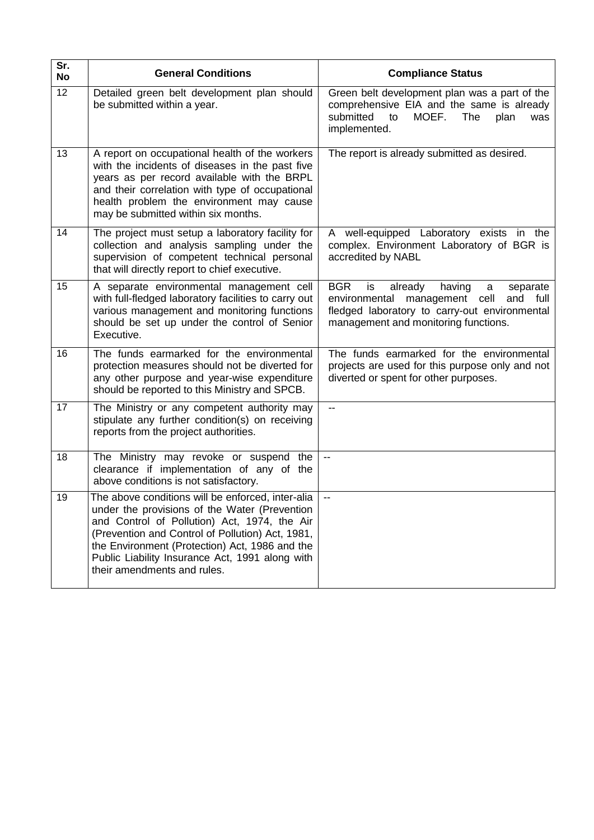| Sr.<br><b>No</b> | <b>General Conditions</b>                                                                                                                                                                                                                                                                                                                  | <b>Compliance Status</b>                                                                                                                                                                           |
|------------------|--------------------------------------------------------------------------------------------------------------------------------------------------------------------------------------------------------------------------------------------------------------------------------------------------------------------------------------------|----------------------------------------------------------------------------------------------------------------------------------------------------------------------------------------------------|
| 12               | Detailed green belt development plan should<br>be submitted within a year.                                                                                                                                                                                                                                                                 | Green belt development plan was a part of the<br>comprehensive EIA and the same is already<br>MOEF.<br>submitted<br>to<br>The<br>plan<br>was<br>implemented.                                       |
| 13               | A report on occupational health of the workers<br>with the incidents of diseases in the past five<br>years as per record available with the BRPL<br>and their correlation with type of occupational<br>health problem the environment may cause<br>may be submitted within six months.                                                     | The report is already submitted as desired.                                                                                                                                                        |
| 14               | The project must setup a laboratory facility for<br>collection and analysis sampling under the<br>supervision of competent technical personal<br>that will directly report to chief executive.                                                                                                                                             | A well-equipped Laboratory exists in the<br>complex. Environment Laboratory of BGR is<br>accredited by NABL                                                                                        |
| 15               | A separate environmental management cell<br>with full-fledged laboratory facilities to carry out<br>various management and monitoring functions<br>should be set up under the control of Senior<br>Executive.                                                                                                                              | <b>BGR</b><br>is<br>already<br>having<br>separate<br>a<br>management cell<br>full<br>environmental<br>and<br>fledged laboratory to carry-out environmental<br>management and monitoring functions. |
| 16               | The funds earmarked for the environmental<br>protection measures should not be diverted for<br>any other purpose and year-wise expenditure<br>should be reported to this Ministry and SPCB.                                                                                                                                                | The funds earmarked for the environmental<br>projects are used for this purpose only and not<br>diverted or spent for other purposes.                                                              |
| 17               | The Ministry or any competent authority may<br>stipulate any further condition(s) on receiving<br>reports from the project authorities.                                                                                                                                                                                                    | $\overline{\phantom{a}}$                                                                                                                                                                           |
| 18               | The Ministry may revoke or suspend the<br>clearance if implementation of any of the<br>above conditions is not satisfactory.                                                                                                                                                                                                               | $\overline{\phantom{a}}$                                                                                                                                                                           |
| 19               | The above conditions will be enforced, inter-alia<br>under the provisions of the Water (Prevention<br>and Control of Pollution) Act, 1974, the Air<br>(Prevention and Control of Pollution) Act, 1981,<br>the Environment (Protection) Act, 1986 and the<br>Public Liability Insurance Act, 1991 along with<br>their amendments and rules. | $\overline{\phantom{a}}$                                                                                                                                                                           |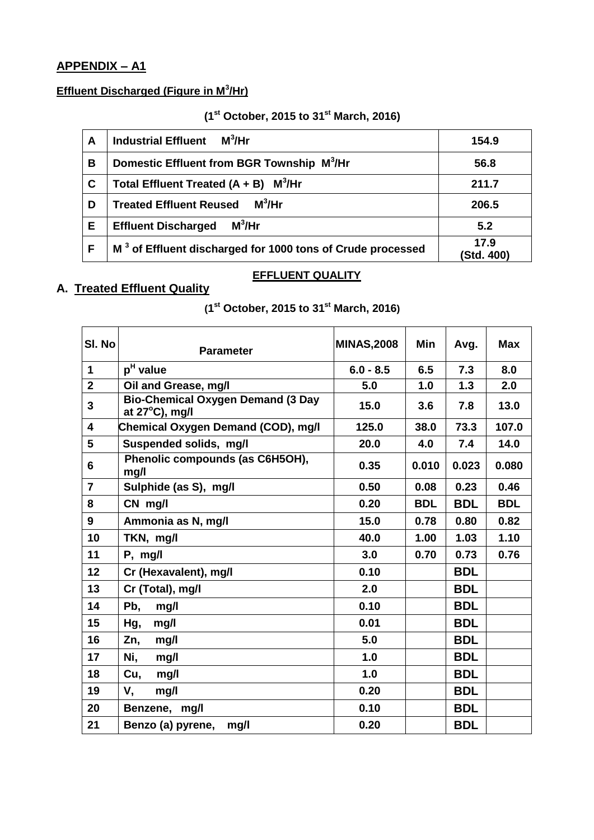# **APPENDIX – A1**

# **Effluent Discharged (Figure in M<sup>3</sup> /Hr)**

### **(1 st October, 2015 to 31 st March, 2016)**

| A | $M^3$ /Hr<br><b>Industrial Effluent</b>                                | 154.9              |
|---|------------------------------------------------------------------------|--------------------|
| В | Domestic Effluent from BGR Township M <sup>3</sup> /Hr                 | 56.8               |
| C | Total Effluent Treated $(A + B)$ M <sup>3</sup> /Hr                    | 211.7              |
| D | $M^3$ /Hr<br><b>Treated Effluent Reused</b>                            | 206.5              |
| Е | $M^3$ /Hr<br><b>Effluent Discharged</b>                                | 5.2                |
|   | M <sup>3</sup> of Effluent discharged for 1000 tons of Crude processed | 17.9<br>(Std. 400) |

#### **EFFLUENT QUALITY**

# **A. Treated Effluent Quality**

**(1 st October, 2015 to 31 st March, 2016)**

| SI. No         | <b>Parameter</b>                                           | <b>MINAS,2008</b> | Min        | Avg.       | <b>Max</b> |
|----------------|------------------------------------------------------------|-------------------|------------|------------|------------|
| $\mathbf 1$    | p <sup>H</sup> value                                       | $6.0 - 8.5$       | 6.5        | 7.3        | 8.0        |
| $\mathbf 2$    | Oil and Grease, mg/l                                       | 5.0               | 1.0        | 1.3        | 2.0        |
| 3              | <b>Bio-Chemical Oxygen Demand (3 Day</b><br>at 27°C), mg/l | 15.0              | 3.6        | 7.8        | 13.0       |
| 4              | Chemical Oxygen Demand (COD), mg/l                         | 125.0             | 38.0       | 73.3       | 107.0      |
| 5              | Suspended solids, mg/l                                     | 20.0              | 4.0        | 7.4        | 14.0       |
| 6              | Phenolic compounds (as C6H5OH),<br>mg/l                    | 0.35              | 0.010      | 0.023      | 0.080      |
| $\overline{7}$ | Sulphide (as S), mg/l                                      | 0.50              | 0.08       | 0.23       | 0.46       |
| 8              | CN mg/l                                                    | 0.20              | <b>BDL</b> | <b>BDL</b> | <b>BDL</b> |
| 9              | Ammonia as N, mg/l                                         | 15.0              | 0.78       | 0.80       | 0.82       |
| 10             | TKN, mg/l                                                  | 40.0              | 1.00       | 1.03       | 1.10       |
| 11             | $P$ , mg/l                                                 | 3.0               | 0.70       | 0.73       | 0.76       |
| 12             | Cr (Hexavalent), mg/l                                      | 0.10              |            | <b>BDL</b> |            |
| 13             | Cr (Total), mg/l                                           | 2.0               |            | <b>BDL</b> |            |
| 14             | Pb,<br>mg/l                                                | 0.10              |            | <b>BDL</b> |            |
| 15             | Hg,<br>mg/l                                                | 0.01              |            | <b>BDL</b> |            |
| 16             | Zn,<br>mg/l                                                | 5.0               |            | <b>BDL</b> |            |
| 17             | Ni,<br>mg/l                                                | 1.0               |            | <b>BDL</b> |            |
| 18             | Cu,<br>mg/l                                                | 1.0               |            | <b>BDL</b> |            |
| 19             | V,<br>mg/l                                                 | 0.20              |            | <b>BDL</b> |            |
| 20             | Benzene, mg/l                                              | 0.10              |            | <b>BDL</b> |            |
| 21             | Benzo (a) pyrene,<br>mg/l                                  | 0.20              |            | <b>BDL</b> |            |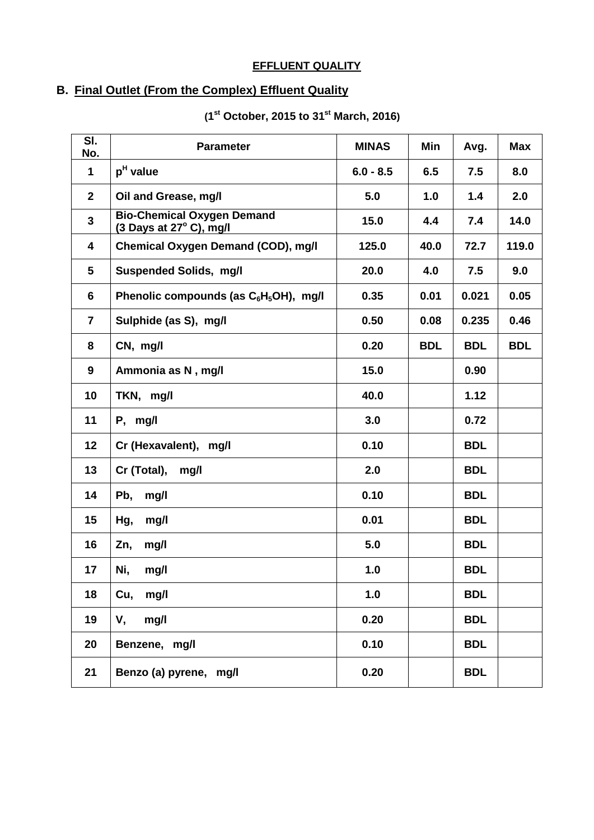# **EFFLUENT QUALITY**

# **B. Final Outlet (From the Complex) Effluent Quality**

| $\overline{\mathsf{SI}}$ .<br>No. | <b>Parameter</b>                                               | <b>MINAS</b> | Min        | Avg.       | <b>Max</b> |
|-----------------------------------|----------------------------------------------------------------|--------------|------------|------------|------------|
| $\mathbf{1}$                      | p <sup>H</sup> value                                           | $6.0 - 8.5$  | 6.5        | 7.5        | 8.0        |
| $\mathbf{2}$                      | Oil and Grease, mg/l                                           | 5.0          | 1.0        | 1.4        | 2.0        |
| $\mathbf{3}$                      | <b>Bio-Chemical Oxygen Demand</b><br>(3 Days at 27° C), mg/l   | 15.0         | 4.4        | 7.4        | 14.0       |
| 4                                 | Chemical Oxygen Demand (COD), mg/l                             | 125.0        | 40.0       | 72.7       | 119.0      |
| 5                                 | <b>Suspended Solids, mg/l</b>                                  | 20.0         | 4.0        | 7.5        | 9.0        |
| 6                                 | Phenolic compounds (as C <sub>6</sub> H <sub>5</sub> OH), mg/l | 0.35         | 0.01       | 0.021      | 0.05       |
| $\overline{7}$                    | Sulphide (as S), mg/l                                          | 0.50         | 0.08       | 0.235      | 0.46       |
| 8                                 | CN, mg/l                                                       | 0.20         | <b>BDL</b> | <b>BDL</b> | <b>BDL</b> |
| 9                                 | Ammonia as N, mg/l                                             | 15.0         |            | 0.90       |            |
| 10                                | TKN, mg/l                                                      | 40.0         |            | 1.12       |            |
| 11                                | $P,$ mg/l                                                      | 3.0          |            | 0.72       |            |
| 12                                | Cr (Hexavalent), mg/l                                          | 0.10         |            | <b>BDL</b> |            |
| 13                                | Cr (Total),<br>mg/l                                            | 2.0          |            | <b>BDL</b> |            |
| 14                                | Pb,<br>mg/l                                                    | 0.10         |            | <b>BDL</b> |            |
| 15                                | Hg,<br>mg/l                                                    | 0.01         |            | <b>BDL</b> |            |
| 16                                | Zn,<br>mg/l                                                    | 5.0          |            | <b>BDL</b> |            |
| 17                                | Ni,<br>mg/l                                                    | 1.0          |            | <b>BDL</b> |            |
| 18                                | Cu, mg/l                                                       | 1.0          |            | <b>BDL</b> |            |
| 19                                | V,<br>mg/l                                                     | 0.20         |            | <b>BDL</b> |            |
| 20                                | Benzene, mg/l                                                  | 0.10         |            | <b>BDL</b> |            |
| 21                                | Benzo (a) pyrene, mg/l                                         | 0.20         |            | <b>BDL</b> |            |
|                                   |                                                                |              |            |            |            |

### **(1 st October, 2015 to 31 st March, 2016)**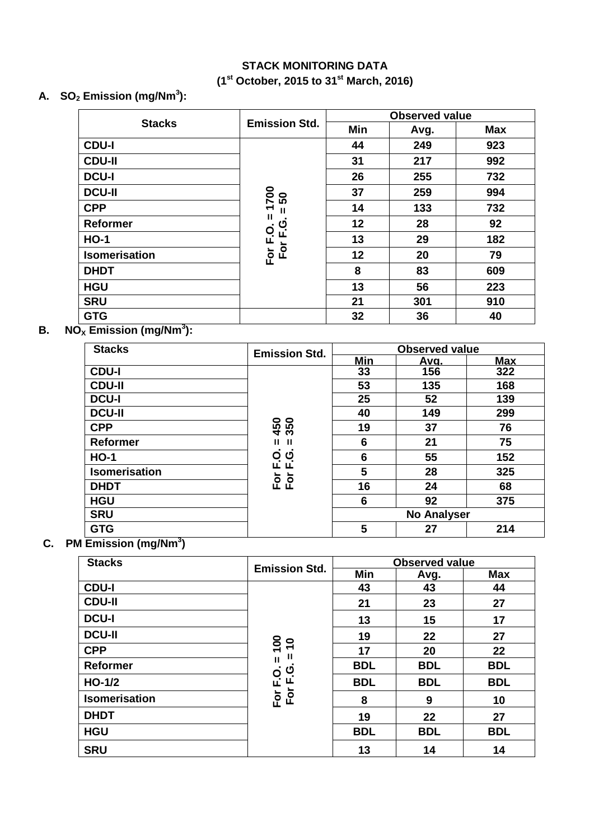# **STACK MONITORING DATA (1 st October, 2015 to 31st March, 2016)**

# **A. SO<sup>2</sup> Emission (mg/Nm<sup>3</sup> ):**

|                      |                               | <b>Observed value</b> |      |            |  |
|----------------------|-------------------------------|-----------------------|------|------------|--|
| <b>Stacks</b>        | <b>Emission Std.</b>          | Min                   | Avg. | <b>Max</b> |  |
| <b>CDU-I</b>         |                               | 44                    | 249  | 923        |  |
| <b>CDU-II</b>        |                               | 31                    | 217  | 992        |  |
| <b>DCU-I</b>         |                               | 26                    | 255  | 732        |  |
| <b>DCU-II</b>        | <b>POZ</b><br>50              | 37                    | 259  | 994        |  |
| <b>CPP</b>           | $\overline{\phantom{0}}$<br>Ш | 14                    | 133  | 732        |  |
| <b>Reformer</b>      | Ш<br>ပ                        | 12                    | 28   | 92         |  |
| $HO-1$               | $\mathbf{Q}$<br>ட<br>щ        | 13                    | 29   | 182        |  |
| <b>Isomerisation</b> | For<br>For                    | 12                    | 20   | 79         |  |
| <b>DHDT</b>          |                               | 8                     | 83   | 609        |  |
| <b>HGU</b>           |                               | 13                    | 56   | 223        |  |
| <b>SRU</b>           |                               | 21                    | 301  | 910        |  |
| <b>GTG</b>           |                               | 32                    | 36   | 40         |  |

# **B. B. NO<sup>X</sup> Emission (mg/Nm<sup>3</sup> ):**

| <b>Stacks</b>        | <b>Emission Std.</b> |                    | <b>Observed value</b> |            |
|----------------------|----------------------|--------------------|-----------------------|------------|
|                      |                      | <b>Min</b>         | <u>Ava.</u>           | <b>Max</b> |
| <b>CDU-I</b>         |                      | 33                 | 156                   | 322        |
| <b>CDU-II</b>        |                      | 53                 | 135                   | 168        |
| <b>DCU-I</b>         |                      | 25                 | 52                    | 139        |
| <b>DCU-II</b>        |                      | 40                 | 149                   | 299        |
| <b>CPP</b>           | 450<br>350           | 19                 | 37                    | 76         |
| Reformer             | Ш<br>ш               | 6                  | 21                    | 75         |
| <b>HO-1</b>          | O O<br>L L           | 6                  | 55                    | 152        |
| <b>Isomerisation</b> |                      | 5                  | 28                    | 325        |
| <b>DHDT</b>          | Fōr<br>Fōr           | 16                 | 24                    | 68         |
| <b>HGU</b>           |                      | 6                  | 92                    | 375        |
| <b>SRU</b>           |                      | <b>No Analyser</b> |                       |            |
| <b>GTG</b>           |                      | 5                  | 27                    | 214        |

### **C. PM Emission (mg/Nm<sup>3</sup> )**

| <b>Stacks</b>   | <b>Emission Std.</b> | <b>Observed value</b> |            |            |  |
|-----------------|----------------------|-----------------------|------------|------------|--|
|                 |                      | Min                   | Avg.       | <b>Max</b> |  |
| <b>CDU-I</b>    |                      | 43                    | 43         | 44         |  |
| <b>CDU-II</b>   |                      | 21                    | 23         | 27         |  |
| <b>DCU-I</b>    | $rac{100}{20}$<br>Ш  | 13                    | 15         | 17         |  |
| <b>DCU-II</b>   |                      | 19                    | 22         | 27         |  |
| <b>CPP</b>      |                      | 17                    | 20         | 22         |  |
| <b>Reformer</b> | $\mathbf{u}$<br>ტ    | <b>BDL</b>            | <b>BDL</b> | <b>BDL</b> |  |
| $HO-1/2$        | щ                    | <b>BDL</b>            | <b>BDL</b> | <b>BDL</b> |  |
| Isomerisation   | For F.O.<br>For      | 8                     | 9          | 10         |  |
| <b>DHDT</b>     |                      | 19                    | 22         | 27         |  |
| <b>HGU</b>      |                      | <b>BDL</b>            | <b>BDL</b> | <b>BDL</b> |  |
| <b>SRU</b>      |                      | 13                    | 14         | 14         |  |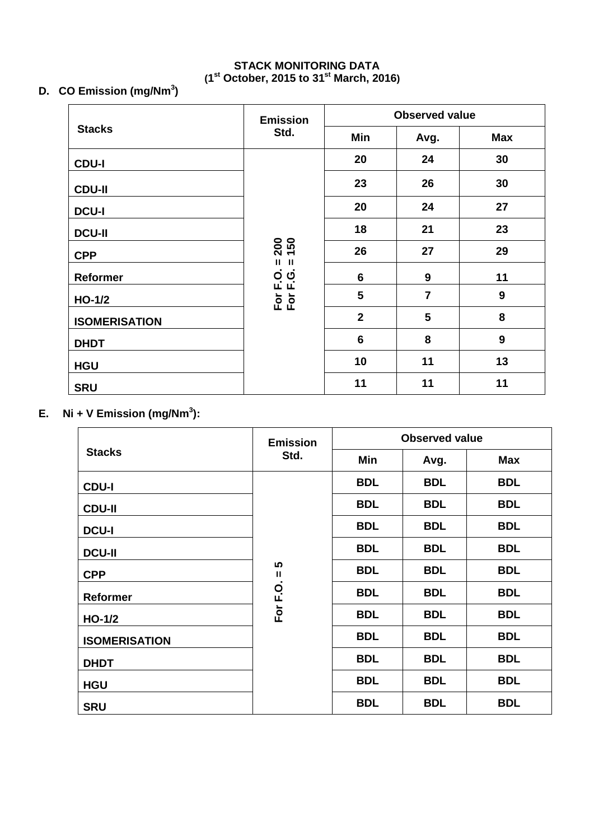# **STACK MONITORING DATA (1 st October, 2015 to 31 st March, 2016)**

# **D. CO Emission (mg/Nm<sup>3</sup> )**

|                      | <b>Emission</b>                             | <b>Observed value</b>   |                |                  |
|----------------------|---------------------------------------------|-------------------------|----------------|------------------|
| <b>Stacks</b>        | Std.                                        | Min                     | Avg.           | <b>Max</b>       |
| <b>CDU-I</b>         |                                             | 20                      | 24             | 30               |
| <b>CDU-II</b>        |                                             | 23                      | 26             | 30               |
| <b>DCU-I</b>         | 200<br>150                                  | 20                      | 24             | 27               |
| <b>DCU-II</b>        |                                             | 18                      | 21             | 23               |
| <b>CPP</b>           |                                             | 26                      | 27             | 29               |
| Reformer             | Ш<br>Ш<br>$\ddot{\mathbf{Q}}$<br>O 0<br>L L | 6                       | 9              | 11               |
| $HO-1/2$             | $\overline{P}$ $\overline{P}$               | $5\phantom{1}$          | $\overline{7}$ | 9                |
| <b>ISOMERISATION</b> |                                             | $\overline{\mathbf{2}}$ | 5              | 8                |
| <b>DHDT</b>          |                                             | $6\phantom{1}6$         | 8              | $\boldsymbol{9}$ |
| <b>HGU</b>           |                                             | 10                      | 11             | 13               |
| <b>SRU</b>           |                                             | 11                      | 11             | 11               |

# **E. Ni + V Emission (mg/Nm<sup>3</sup> ):**

|                      | <b>Emission</b> | <b>Observed value</b> |            |            |
|----------------------|-----------------|-----------------------|------------|------------|
| <b>Stacks</b>        | Std.            | Min                   | Avg.       | <b>Max</b> |
| <b>CDU-I</b>         |                 | <b>BDL</b>            | <b>BDL</b> | <b>BDL</b> |
| <b>CDU-II</b>        |                 | <b>BDL</b>            | <b>BDL</b> | <b>BDL</b> |
| <b>DCU-I</b>         | 5<br>Ш          | <b>BDL</b>            | <b>BDL</b> | <b>BDL</b> |
| <b>DCU-II</b>        |                 | <b>BDL</b>            | <b>BDL</b> | <b>BDL</b> |
| <b>CPP</b>           |                 | <b>BDL</b>            | <b>BDL</b> | <b>BDL</b> |
| <b>Reformer</b>      | For F.O.        | <b>BDL</b>            | <b>BDL</b> | <b>BDL</b> |
| $HO-1/2$             |                 | <b>BDL</b>            | <b>BDL</b> | <b>BDL</b> |
| <b>ISOMERISATION</b> |                 | <b>BDL</b>            | <b>BDL</b> | <b>BDL</b> |
| <b>DHDT</b>          |                 | <b>BDL</b>            | <b>BDL</b> | <b>BDL</b> |
| <b>HGU</b>           |                 | <b>BDL</b>            | <b>BDL</b> | <b>BDL</b> |
| <b>SRU</b>           |                 | <b>BDL</b>            | <b>BDL</b> | <b>BDL</b> |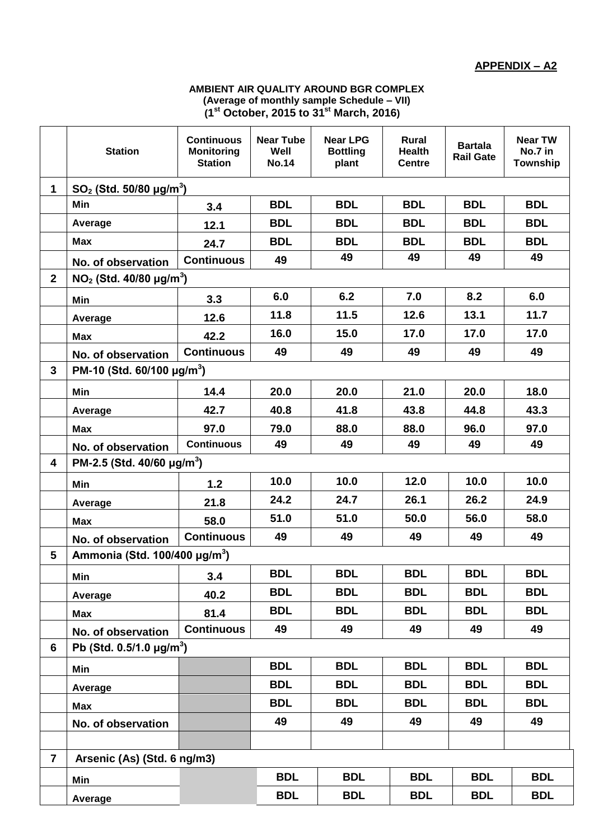#### **AMBIENT AIR QUALITY AROUND BGR COMPLEX (Average of monthly sample Schedule – VII) (1 st October, 2015 to 31 st March, 2016)**

|                         | <b>Station</b>                              | <b>Continuous</b><br><b>Monitoring</b><br><b>Station</b> | <b>Near Tube</b><br>Well<br><b>No.14</b> | <b>Near LPG</b><br><b>Bottling</b><br>plant | <b>Rural</b><br><b>Health</b><br><b>Centre</b> | <b>Bartala</b><br><b>Rail Gate</b> | <b>Near TW</b><br>No.7 in<br>Township |  |  |  |
|-------------------------|---------------------------------------------|----------------------------------------------------------|------------------------------------------|---------------------------------------------|------------------------------------------------|------------------------------------|---------------------------------------|--|--|--|
| $\mathbf{1}$            | $SO_2$ (Std. 50/80 $\mu$ g/m <sup>3</sup> ) |                                                          |                                          |                                             |                                                |                                    |                                       |  |  |  |
|                         | Min                                         | 3.4                                                      | <b>BDL</b>                               | <b>BDL</b>                                  | <b>BDL</b>                                     | <b>BDL</b>                         | <b>BDL</b>                            |  |  |  |
|                         | Average                                     | 12.1                                                     | <b>BDL</b>                               | <b>BDL</b>                                  | <b>BDL</b>                                     | <b>BDL</b>                         | <b>BDL</b>                            |  |  |  |
|                         | <b>Max</b>                                  | 24.7                                                     | <b>BDL</b>                               | <b>BDL</b>                                  | <b>BDL</b>                                     | <b>BDL</b>                         | <b>BDL</b>                            |  |  |  |
|                         | No. of observation                          | <b>Continuous</b>                                        | 49                                       | 49                                          | 49                                             | 49                                 | 49                                    |  |  |  |
| $\overline{2}$          | $NO2$ (Std. 40/80 $\mu$ g/m <sup>3</sup> )  |                                                          |                                          |                                             |                                                |                                    |                                       |  |  |  |
|                         | Min                                         | 3.3                                                      | 6.0                                      | 6.2                                         | 7.0                                            | 8.2                                | 6.0                                   |  |  |  |
|                         | Average                                     | 12.6                                                     | 11.8                                     | 11.5                                        | 12.6                                           | 13.1                               | 11.7                                  |  |  |  |
|                         | <b>Max</b>                                  | 42.2                                                     | 16.0                                     | 15.0                                        | 17.0                                           | 17.0                               | 17.0                                  |  |  |  |
|                         | No. of observation                          | <b>Continuous</b>                                        | 49                                       | 49                                          | 49                                             | 49                                 | 49                                    |  |  |  |
| $\overline{3}$          | PM-10 (Std. $60/100 \mu g/m^3$ )            |                                                          |                                          |                                             |                                                |                                    |                                       |  |  |  |
|                         | Min                                         | 14.4                                                     | 20.0                                     | 20.0                                        | 21.0                                           | 20.0                               | 18.0                                  |  |  |  |
|                         | Average                                     | 42.7                                                     | 40.8                                     | 41.8                                        | 43.8                                           | 44.8                               | 43.3                                  |  |  |  |
|                         | <b>Max</b>                                  | 97.0                                                     | 79.0                                     | 88.0                                        | 88.0                                           | 96.0                               | 97.0                                  |  |  |  |
|                         | No. of observation                          | <b>Continuous</b>                                        | 49                                       | 49                                          | 49                                             | 49                                 | 49                                    |  |  |  |
| 4                       | PM-2.5 (Std. 40/60 $\mu$ g/m <sup>3</sup> ) |                                                          |                                          |                                             |                                                |                                    |                                       |  |  |  |
|                         | Min                                         | 1.2                                                      | 10.0                                     | 10.0                                        | 12.0                                           | 10.0                               | 10.0                                  |  |  |  |
|                         | Average                                     | 21.8                                                     | 24.2                                     | 24.7                                        | 26.1                                           | 26.2                               | 24.9                                  |  |  |  |
|                         | Max                                         | 58.0                                                     | 51.0                                     | 51.0                                        | 50.0                                           | 56.0                               | 58.0                                  |  |  |  |
|                         | No. of observation                          | <b>Continuous</b>                                        | 49                                       | 49                                          | 49                                             | 49                                 | 49                                    |  |  |  |
| 5                       |                                             | Ammonia (Std. 100/400 $\mu$ g/m <sup>3</sup> )           |                                          |                                             |                                                |                                    |                                       |  |  |  |
|                         | Min                                         | 3.4                                                      | <b>BDL</b>                               | <b>BDL</b>                                  | <b>BDL</b>                                     | <b>BDL</b>                         | <b>BDL</b>                            |  |  |  |
|                         | Average                                     | 40.2                                                     | <b>BDL</b>                               | <b>BDL</b>                                  | <b>BDL</b>                                     | <b>BDL</b>                         | <b>BDL</b>                            |  |  |  |
|                         | <b>Max</b>                                  | 81.4                                                     | <b>BDL</b>                               | <b>BDL</b>                                  | <b>BDL</b>                                     | <b>BDL</b>                         | <b>BDL</b>                            |  |  |  |
|                         | No. of observation                          | <b>Continuous</b>                                        | 49                                       | 49                                          | 49                                             | 49                                 | 49                                    |  |  |  |
| 6                       | Pb (Std. $0.5/1.0 \mu q/m^3$ )              |                                                          |                                          |                                             |                                                |                                    |                                       |  |  |  |
|                         | Min                                         |                                                          | <b>BDL</b>                               | <b>BDL</b>                                  | <b>BDL</b>                                     | <b>BDL</b>                         | <b>BDL</b>                            |  |  |  |
|                         | Average                                     |                                                          | <b>BDL</b>                               | <b>BDL</b>                                  | <b>BDL</b>                                     | <b>BDL</b>                         | <b>BDL</b>                            |  |  |  |
|                         | <b>Max</b>                                  |                                                          | <b>BDL</b>                               | <b>BDL</b>                                  | <b>BDL</b>                                     | <b>BDL</b>                         | <b>BDL</b>                            |  |  |  |
|                         | No. of observation                          |                                                          | 49                                       | 49                                          | 49                                             | 49                                 | 49                                    |  |  |  |
|                         |                                             |                                                          |                                          |                                             |                                                |                                    |                                       |  |  |  |
| $\overline{\mathbf{r}}$ | Arsenic (As) (Std. 6 ng/m3)                 |                                                          |                                          |                                             |                                                |                                    |                                       |  |  |  |
|                         | Min                                         |                                                          | <b>BDL</b>                               | <b>BDL</b>                                  | <b>BDL</b>                                     | <b>BDL</b>                         | <b>BDL</b>                            |  |  |  |
|                         | Average                                     |                                                          | <b>BDL</b>                               | <b>BDL</b>                                  | <b>BDL</b>                                     | <b>BDL</b>                         | <b>BDL</b>                            |  |  |  |
|                         |                                             |                                                          |                                          |                                             |                                                |                                    |                                       |  |  |  |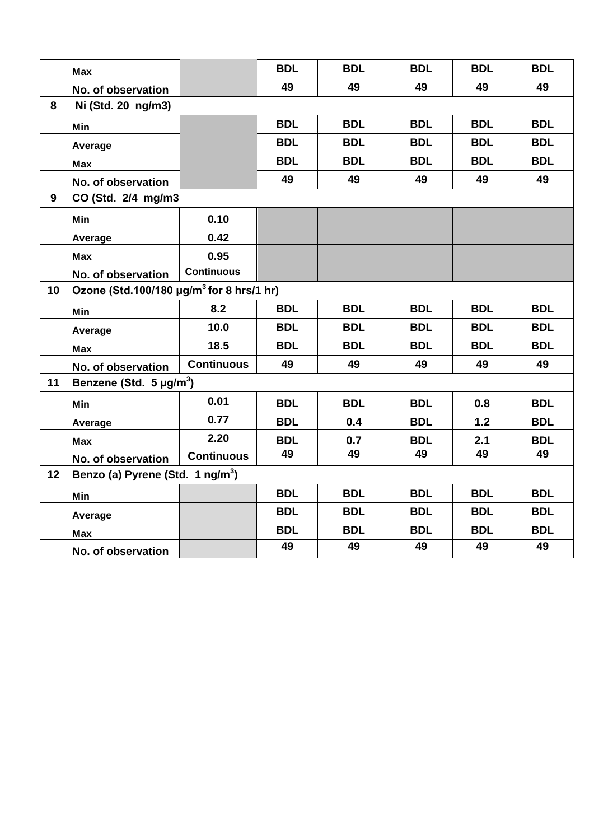|    | <b>Max</b>                                           |                                     | <b>BDL</b> | <b>BDL</b> | <b>BDL</b> | <b>BDL</b> | <b>BDL</b> |  |  |  |
|----|------------------------------------------------------|-------------------------------------|------------|------------|------------|------------|------------|--|--|--|
|    | No. of observation                                   |                                     | 49         | 49         | 49         | 49         | 49         |  |  |  |
| 8  | Ni (Std. 20 ng/m3)                                   |                                     |            |            |            |            |            |  |  |  |
|    | Min                                                  |                                     | <b>BDL</b> | <b>BDL</b> | <b>BDL</b> | <b>BDL</b> | <b>BDL</b> |  |  |  |
|    | Average                                              |                                     | <b>BDL</b> | <b>BDL</b> | <b>BDL</b> | <b>BDL</b> | <b>BDL</b> |  |  |  |
|    | <b>Max</b>                                           |                                     | <b>BDL</b> | <b>BDL</b> | <b>BDL</b> | <b>BDL</b> | <b>BDL</b> |  |  |  |
|    | No. of observation                                   |                                     | 49         | 49         | 49         | 49         | 49         |  |  |  |
| 9  | CO (Std. 2/4 mg/m3                                   |                                     |            |            |            |            |            |  |  |  |
|    | Min                                                  | 0.10                                |            |            |            |            |            |  |  |  |
|    | Average                                              | 0.42                                |            |            |            |            |            |  |  |  |
|    | <b>Max</b>                                           | 0.95                                |            |            |            |            |            |  |  |  |
|    | No. of observation                                   | <b>Continuous</b>                   |            |            |            |            |            |  |  |  |
| 10 | Ozone (Std.100/180 µg/m <sup>3</sup> for 8 hrs/1 hr) |                                     |            |            |            |            |            |  |  |  |
|    | Min                                                  | 8.2                                 | <b>BDL</b> | <b>BDL</b> | <b>BDL</b> | <b>BDL</b> | <b>BDL</b> |  |  |  |
|    | Average                                              | 10.0                                | <b>BDL</b> | <b>BDL</b> | <b>BDL</b> | <b>BDL</b> | <b>BDL</b> |  |  |  |
|    | <b>Max</b>                                           | 18.5                                | <b>BDL</b> | <b>BDL</b> | <b>BDL</b> | <b>BDL</b> | <b>BDL</b> |  |  |  |
|    | No. of observation                                   | <b>Continuous</b>                   | 49         | 49         | 49         | 49         | 49         |  |  |  |
| 11 |                                                      | Benzene (Std. 5 µg/m <sup>3</sup> ) |            |            |            |            |            |  |  |  |
|    | Min                                                  | 0.01                                | <b>BDL</b> | <b>BDL</b> | <b>BDL</b> | 0.8        | <b>BDL</b> |  |  |  |
|    | Average                                              | 0.77                                | <b>BDL</b> | 0.4        | <b>BDL</b> | 1.2        | <b>BDL</b> |  |  |  |
|    | <b>Max</b>                                           | 2.20                                | <b>BDL</b> | 0.7        | <b>BDL</b> | 2.1        | <b>BDL</b> |  |  |  |
|    | No. of observation                                   | <b>Continuous</b>                   | 49         | 49         | 49         | 49         | 49         |  |  |  |
| 12 | Benzo (a) Pyrene (Std. 1 ng/m <sup>3</sup> )         |                                     |            |            |            |            |            |  |  |  |
|    | Min                                                  |                                     | <b>BDL</b> | <b>BDL</b> | <b>BDL</b> | <b>BDL</b> | <b>BDL</b> |  |  |  |
|    | Average                                              |                                     | <b>BDL</b> | <b>BDL</b> | <b>BDL</b> | <b>BDL</b> | <b>BDL</b> |  |  |  |
|    | <b>Max</b>                                           |                                     | <b>BDL</b> | <b>BDL</b> | <b>BDL</b> | <b>BDL</b> | <b>BDL</b> |  |  |  |
|    | No. of observation                                   |                                     | 49         | 49         | 49         | 49         | 49         |  |  |  |